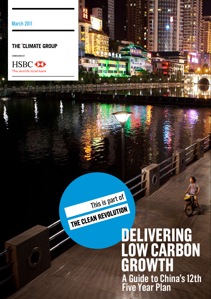### THE °CLIMATE GROUP

COMMISSIONED BY







# **DELIVERING LOWCARBON**  WTH **A Guide to China's 12th Five Year Plan**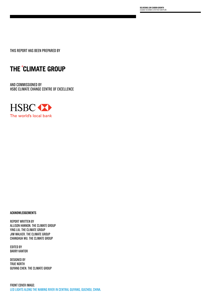**DELIVERING LOW CARBON GROWTH** A GUIDE TO CHINA'S 12TH FIVE YEAR PLAN

THIS REPORT HAS BEEN PREPARED BY

### THE °CLIMATE GROUP

AND COMMISSIONED BY HSBC CLIMATE CHANGE CENTRE OF EXCELLENCE



#### **ACKNOWLEDGEMENTS**

REPORT WRITTEN BY ALLISON HANNON. THE CLIMATE GROUP YING LIU. THE CLIMATE GROUP JIM WALKER. THE CLIMATE GROUP CHANGHUA WU. THE CLIMATE GROUP

EDITED BY BARRY KANTOR

DESIGNED BY TRUE NORTH GUYANG CHEN. THE CLIMATE GROUP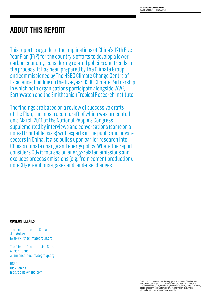# **ABOUT THIS REPORT**

This report is a guide to the implications of China's 12th Five Year Plan (FYP) for the country's efforts to develop a lower carbon economy, considering related policies and trends in the process. It has been prepared by The Climate Group and commissioned by The HSBC Climate Change Centre of Excellence, building on the five-year HSBC Climate Partnership in which both organisations participate alongside WWF, Earthwatch and the Smithsonian Tropical Research Institute.

The findings are based on a review of successive drafts of the Plan, the most recent draft of which was presented on 5 March 2011 at the National People's Congress, supplemented by interviews and conversations (some on a non-attributable basis) with experts in the public and private sectors in China. It also builds upon earlier research into China's climate change and energy policy. Where the report considers  $CO<sub>2</sub>$  it focuses on energy-related emissions and excludes process emissions (e.g. from cement production), non-CO2 greenhouse gases and land-use changes.

#### **Contact details**

The Climate Group in China Jim Walker jwalker@theclimategroup.org

The Climate Group outside China Allison Hannon ahannon@theclimategroup.org

**HSBC** Nick Robins nick.robins@hsbc.com

Disclaimer. The views expressed in this paper are the views of The Climate Group<br>and do not necessarily reflect the views or policies of HSBC. HSBC makes no<br>representation concerning and does not guarantee the source, orig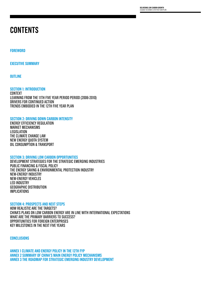### **CONTENTS**

#### **FOREWORD**

**EXECUTIVE SUMMARY**

**OUTLINE**

**SECTION 1: INTRODUCTION** CONTEXT LEARNING FROM THE 11TH FIVE YEAR PERIOD PERIOD (2006-2010) DRIVERS FOR CONTINUED ACTION TRENDS EMBODIED IN THE 12TH FIVE YEAR PLAN

#### **SECTION 2: DRIVING DOWN CARBON INTENSITY**

ENERGY EFFICIENCY REGULATION MARKET MECHANISMS **LEGISLATION** THE CLIMATE CHANGE LAW NEW ENERGY QUOTA SYSTEM OIL CONSUMPTION & TRANSPORT

#### **SECTION 3: DRIVING LOW CARBON OPPORTUNITIES**

DEVELOPMENT STRATEGIES FOR THE STRATEGIC EMERGING INDUSTRIES PUBLIC FINANCING & FISCAL POLICY THE ENERGY SAVING & ENVIRONMENTAL PROTECTION INDUSTRY NEW-ENERGY INDUSTRY NEW-ENERGY VEHICLES LED INDUSTRY GEOGRAPHIC DISTRIBUTION IMPLICATIONS

#### **SECTION 4: PROSPECTS AND NEXT STEPS**

HOW REALISTIC ARE THE TARGETS? CHINA'S PLANS ON LOW CARBON ENERGY ARE IN LINE WITH INTERNATIONAL EXPECTATIONS WHAT ARE THE PRIMARY BARRIERS TO SUCCESS? OPPORTUNITIES FOR FOREIGN ENTERPRISES KEY MILESTONES IN THE NEXT FIVE YEARS

**CONCLUSIONS**

**ANNEX 1 CLIMATE AND ENERGY POLICY IN THE 12TH FYP ANNEX 2 SUMMARY OF CHINA'S MAIN ENERGY POLICY MECHANISMS ANNEX 3 THE ROADMAP FOR STRATEGIC EMERGING INDUSTRY DEVELOPMENT**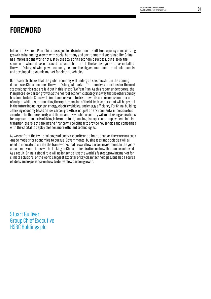# **FOREWORD**

In the 12th Five Year Plan, China has signalled its intention to shift from a policy of maximizing growth to balancing growth with social harmony and environmental sustainability. China has impressed the world not just by the scale of its economic success, but also by the speed with which it has embraced a cleantech future. In the last five years, it has installed the world's largest wind power capacity, become the biggest manufacturer of solar panels and developed a dynamic market for electric vehicles.

Our research shows that the global economy will undergo a seismic shift in the coming decades as China becomes the world's largest market. The country's priorities for the next steps along this road are laid out in this latest Five Year Plan. As this report underscores, the Plan places low carbon growth at the heart of economic strategy in a way that no other country has done to date. China will simultaneously aim to drive down its carbon emissions per unit of output, while also stimulating the rapid expansion of the hi-tech sectors that will be pivotal in the future including clean energy, electric vehicles, and energy efficiency. For China, building a thriving economy based on low carbon growth, is not just an environmental imperative but a route to further prosperity and the means by which the country will meet rising aspirations for improved standards of living in terms of food, housing, transport and employment. In this transition, the role of banking and finance will be critical to provide households and companies with the capital to deploy cleaner, more efficient technologies.

As we confront the twin challenges of energy security and climate change, there are no ready -made models for economies to pursue. Governments, businesses and societies will all need to innovate to create the frameworks that reward low carbon investment. In the years ahead, many countries will be looking to China for inspiration on how this can be achieved. As a result, China's global role will no longer be just the world's fastest growing market for climate solutions, or the world's biggest exporter of key clean technologies, but also a source of ideas and experience on how to deliver low carbon growth.

Stuart Gulliver Group Chief Executive HSBC Holdings plc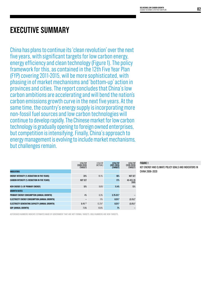### **EXECUTIVE SUMMARY**

China has plans to continue its 'clean revolution' over the next five years, with significant targets for low carbon energy, energy efficiency and clean technology (Figure 1). The policy framework for this, as contained in the 12th Five Year Plan (FYP) covering 2011-2015, will be more sophisticated, with phasing in of market mechanisms and 'bottom-up' action in provinces and cities. The report concludes that China's low carbon ambitions are accelerating and will bend the nation's carbon emissions growth curve in the next five years. At the same time, the country's energy supply is incorporating more non-fossil fuel sources and low carbon technologies will continue to develop rapidly. The Chinese market for low carbon technology is gradually opening to foreign owned enterprises, but competition is intensifying. Finally, China's approach to energy management is evolving to include market mechanisms, but challenges remain.

|                                                     | 11TH FYP<br>$(2006 - 2010)$<br>(TARGET) | 11TH FYP<br>(ACTUAL) | <b>12TH FYP</b><br>$(2011 - 2015)$<br>(TARGET) | 13TH FYP<br>$(2016 - 2020)$<br>(TARGET) |
|-----------------------------------------------------|-----------------------------------------|----------------------|------------------------------------------------|-----------------------------------------|
| <b>INDICATORS</b>                                   |                                         |                      |                                                |                                         |
| <b>ENERGY INTENSITY (% REDUCTION IN FIVE YEARS)</b> | 20%                                     | 19.1%                | 16%                                            | <b>NOT SET</b>                          |
| <b>CARBON INTENSITY (% REDUCTION IN FIVE YEARS)</b> | NOT SET                                 |                      | 17%                                            | 40-45% VS<br>2005                       |
| NEW ENERGY (% OF PRIMARY ENERGY)                    | 10%                                     | $9.6\%$ <sup>1</sup> | 11.4%                                          | 15%                                     |
| <b>GROWTH RATES</b>                                 |                                         |                      |                                                |                                         |
| PRIMARY ENERGY CONSUMPTION (ANNUAL GROWTH)          | 4%                                      | 6.3%                 | $3.75 - 5%$                                    |                                         |
| ELECTRICITY ENERGY CONSUMPTION (ANNUAL GROWTH)      |                                         | 11%                  | $8.5%$ *                                       | $(5.5%)*$                               |
| ELECTRICITY GENERATING CAPACITY (ANNUAL GROWTH)     | $8.4\%^{2.3}$                           | 13.2% <sup>4</sup>   | $8.5%$ *                                       | $(5.6\%)*$                              |
| GDP (ANNUAL GROWTH)                                 | 7.5%                                    | 10.6%                | 7%                                             |                                         |

#### **FIGURE 1**

Key energy and climate policy goals and indicators in China 2006–2020

ASTERISKED NUMBERS INDICATE ESTIMATES MADE BY GOVERNMENT THAT ARE NOT FORMAL TARGETS. BOLD NUMBERS ARE NEW TARGETS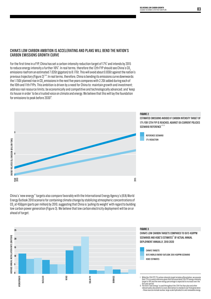#### CHINA'S LOW CARBON AMBITION IS ACCELERATING AND PLANS WILL BEND THE NATION'S CARBON EMISSIONS GROWTH CURVE

For the first time in a FYP, China has set a carbon-intensity reduction target of 17%<sup>5</sup> and intends by 2015 to reduce energy intensity a further 16% $^{\rm s}$ . In real terms, therefore the 12th FYP should see China's CO $_{_2}$ emissions risefrom an estimated 7.02Gt (gigaton) to 8.17Gt. This will avoid about 0.83Gt against the nation's previous trajectory (Figure 2)<sup>7,8,9</sup>. In real terms, therefore, China is bending its emissions curve downwards: the 1.15Gt planned rise in CO<sub>2</sub> emissions in the next five years compares with 2.2Gt added during each of the 10th and 11th FYPs. This ambition is driven by a need for China to: maintain growth and investment; address real resource limits; be economically and competitive and technologically advanced; and 'keep its house in order' to be a trusted voice on climate and energy. We believe that this will lay the foundation for emissions to peak before 2030 $^{\text{o}}$ .

#### **FIGURE 2** ESTIMATED EMISSIONS AVOIDED IF CARBON INTENSITY TARGET OF 17% for 12th FYP is reached, against IEA Current Policies SCENARIO REFERENCE<sup>1,11,12</sup> 9 REFERENCE SCENARIO 17% REDUCTION ENERGY RELATED CO2 EMISSION (BILLION TONS) ENERGY RELATED C02 EMISSION (BILLION TONS) 8 7 2015 YEAR 2010

China's 'new energy" targets also compare favorably with the International Energy Agency's (IEA) World Energy Outlook 2010 scenario for containing climate change by stabilizing atmospheric concentrations of CO $_{\rm 2}$ at 450ppm (parts per million) by 2010, suggesting that China is 'pulling its weight' with regard to building low carbon power generation (Figure 3). We believe that low carbon electricity deployment will be on or ahead of target.



five-year period.<br>Il The term 'new energy' is used throughout the 12th Five Year plan and other<br>relevant policy documents to cover alternatives to standard coal-fired generation<br>- these sources include nuclear, large-scale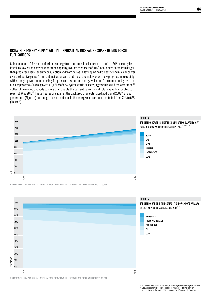#### GROWTH IN ENERGY SUPPLY WILL INCORPORATE AN INCREASING SHARE OF NON-FOSSIL FUEL SOURCES

China reached a 9.6% share of primary energy from non-fossil fuel sources in the 11th FYP, primarily by installing low carbon power generation capacity, against the target of 10%<sup>14</sup>. Challenges came from larger than predicted overall energy consumption and from delays in developing hydroelectric and nuclear power over the last five years15,16. Current indications are that these technologies will now progress more rapidly with stronger government backing. Progress on low carbon energy will come from a four-fold growth in nuclear power to 40GW (gigawatts)  $^{\text{\tiny{17}}}$ , 63GW of new hydroelectric capacity, a growth in gas-fired generation'<sup>8,11</sup>, 48GW<sup>19</sup> of new wind capacity to more than double the current capacity and solar capacity expected to reach 5GW by 201520. These figures are against the backdrop of an estimated additional 260GW of coal generation<sup>21</sup> (Figure 4) – although the share of coal in the energy mix is anticipated to fall from 72% to 63% (Figure 5).



Figures taken from publicly available data from the National Energy Board and the China Electricity Council

**30% 20% 10% 0%**

PERCENTAGE

2010

2015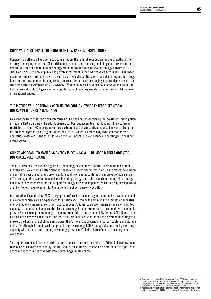#### CHINA WILL ACCELERATE THE GROWTH OF LOW CARBON TECHNOLOGIES

Considering both export and domestic consumption, the 12th FYP sets out aggressive growth plans for strategic emerging industries (SEIs) critical to economic restructuring, including electric vehicles, next generation information technology, energy efficient products and renewable energy. A figure of RMB 10 trillion (US \$1.5 trillion) of public and private investment in the next five years across all SEIs has been discussed but a government target may not be set. Fiscal incentives form part of an integrated strategy. Research and development funding is set to increase dramatically, leveraging public and private sources from the current 1.7%<sup>28</sup> to reach 2.2-2.5% of GDP<sup>28</sup>. Technologies including new-energy vehicles and LED lighting are set to play a big role in the longer term, as China's large-scale manufacturing will drive down international prices.

#### THE PICTURE WILL GRADUALLY OPEN UP FOR FOREIGN-OWNED ENTERPRISES (FOEs) BUT COMPETITION IS INTENSIFYING

Following the trend of state-owned enterprises (SOEs) opening up to foreign equity investment, participation in national R&D programs will gradually open up to FOEs. But access to direct funding is likely to remain restricted to majority Chinese joint venture partnerships. China recently announced moves to strengthen its intellectual property (IP) regime under the 12th FYP, which is increasingly significant for its own domestically-derived IP. The extent to which this will impact FOEs' experience of operating in China is not clear, however.

#### CHINA'S APPROACH TO MANAGING ENERGY IS EVOLVING WILL BE MORE MARKET-ORIENTED, BUT CHALLENGES REMAIN

The 12th FYP measures include regulation, technology development, capital investment and market mechanisms. We expect a better-planned phase-out of inefficient infrastructure and clearer devolution of central targets by sector and province. Data quality on energy continues to improve<sup>y</sup>, enabling more effective regulation. Market mechanisms, including energy price reform, carbon trading pilots, energy labelling of consumer products and support for energy services companies, will be actively developed and are likely to form a key element for China's energy policy framework by 2015.

On the national agenda since 2002, energy price-reform has become urgent to rationalize investment, and market mechanisms are an experiment for a nation accustomed to administrative regulation. Industrial energy efficiency measures remain critical to success<sup>y</sup>. Some local governments struggle with limited capacity to implement changes and still perceive energy intensity reduction to be at odds with economic growth. Access to capital for energy efficiency projects is a priority, especially for non-SOEs. Nuclear and hydroelectric power will take higher priority in this FYP. Coal-fired generation and heavy manufacturing still make up the lion's share of China's emissions (81%)<sup>30</sup>. There is no provision for carbon capture and storage in the FYP although it remains a development priority in energy R&D. Although absolute coal-generating capacity will increase, outstripping new energy growth in 2015, the share of coal in the energy mix will decline.

The targets are set and the plans are in motion to build on the ambition of the 11th FYP for China's movement towards clean and efficient energy use. The 12th FYP makes it clear that China is determined to capture the economic opportunities that exist from addressing climate change.

V Based on preliminary and final energy values from 1990 to the present day<br>published by the National Bureau of Statistics, showing diminishing errors in<br>energy data over time. Increased academic and research interest in C

energy statistics similarly has led to more accurate data over time.<br>W A Special Energy Conservation Plan anticipated from the National Development<br>and Reform Commission (NDRC) later this year will be significant in this r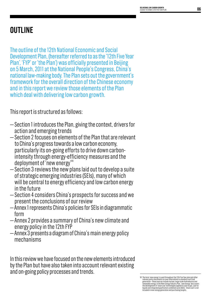# **OUTLINE**

The outline of the 12th National Economic and Social Development Plan, (hereafter referred to as the '12th Five Year Plan', 'FYP' or 'the Plan') was officially presented in Beijing on 5 March, 2011 at the National People's Congress, China's national law-making body. The Plan sets out the government's framework for the overall direction of the Chinese economy and in this report we review those elements of the Plan which deal with delivering low carbon growth.

This report is structured as follows:

- Section 1 introduces the Plan, giving the context, drivers for action and emerging trends
- Section 2 focuses on elements of the Plan that are relevant to China's progress towards a low carbon economy, particularly its on-going efforts to drive down carbonintensity through energy-efficiency measures and the deployment of 'new energy'<sup> $W$ </sup>
- Section 3 reviews the new plans laid out to develop a suite of strategic emerging industries (SEIs), many of which will be central to energy efficiency and low carbon energy in the future
- Section 4 considers China's prospects for success and we present the conclusions of our review
- Annex 1 represents China's policies for SEIs in diagrammatic form
- Annex 2 provides a summary of China's new climate and energy policy in the 12th FYP
- Annex 3 presents a diagram of China's main energy policy mechanisms

In this review we have focused on the new elements introduced by the Plan but have also taken into account relevant existing and on-going policy processes and trends.

VII The term 'new energy' is used throughout the 12th Five Year plan and other<br>relevant policy documents to cover alternatives to standard coal-fired<br>generation – these sources include nuclear, large-scale hydroelectric an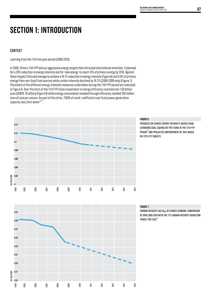# **SECTION 1: INTRODUCTION**

#### CONTEXT

Learning from the 11th five year period (2006-2010)

In 2006, China's 11th FYP laid out aggressive energy targets that attracted international attention. It planned for a 20% reduction in energy intensity and for 'new energy' to reach 10% of primary energy by 2010. Against these targets China did manage to achieve a 19.1% reduction in energy intensity (Figure 6) and 9.6% of primary energy from non-fossil fuel sources while carbon intensity declined by 16.2% (2006-2009 only) (Figure 7). The extent of the different energy-intensity measures undertaken during the 11th FYP period are indicated in Figure 8. Over the term of the 11th FYP state investment in energy efficiency reached over 130 billion yuan (US\$19.76 billion) (Figure 9) while energy consumption avoided through efficiency totalled 100 million tons of coal per annum. As part of this drive, 70GW of small, inefficient coal-fired power generation capacity was shut-down<sup>33,34</sup>.



#### **FIGURE 6**

Progress on China's energy intensity (kgsce/yuan) (STANDARD COAL EQUIVALENT PER YUAN) IN THE 11TH FYP period<sup>35</sup>and projected improvement by 2015 based on 12th FYP targets



#### **FIGURE 7**

CARBON INTENSITY (KG CO2) OF CHINA'S ECONOMY, COMPARISON of data 2005-2010 with the 17% carbon-intensity reduction TARGET FOR  $2015^{36}$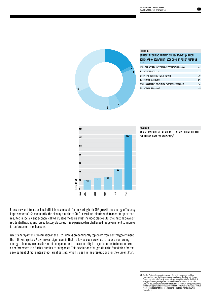

#### **FIGURE 8**

| SOURCES OF CHINA'S PRIMARY ENERGY SAVINGS (MILLION                |     |  |  |
|-------------------------------------------------------------------|-----|--|--|
| TONS CARBON EQUIVALENT), 2006-2008, BY POLICY MEASURE<br>38. VIII |     |  |  |
| 1 THE 'TEN KEY PROJECTS' ENERGY EFFICIENCY PROGRAM                | 102 |  |  |
| <b>2 PROTENTIAL OVERLAP</b>                                       | 12  |  |  |
| <b>3 SHUTTING DOWN INEFFICIENT PLANTS</b>                         | 129 |  |  |
| <b>4 APPLIANCE STANDARDS</b>                                      | 37  |  |  |
| 5 TOP 1000 ENERGY CONSUMING ENTERPRISE PROGRAM                    | 124 |  |  |
| <b>6 PROVINCIAL PROGRAMS</b>                                      | 185 |  |  |



#### **FIGURE 9**

Annual investment in energy efficiency during the 11th FYP PERIOD (DATA FOR 2007-2010) $^{39}$ 

Pressure was intense on local officials responsible for delivering both GDP growth and energy-efficiency improvements<sup>40</sup>. Consequently, the closing months of 2010 saw a last-minute rush to meet targets that resulted in socially and economically disruptive measures that included black-outs, the shutting down of residential heating and forced factory closures. This experience has challenged the government to improve its enforcement mechanisms.

Whilst energy-intensity regulation in the 11th FYP was predominantly top-down from central government, the 1000 Enterprises Program was significant in that it allowed each province to focus on enforcing energy efficiency in many dozens of companies and to ask each city in its jurisdiction to focus in turn on enforcement in a further number of companies. This devolution of targets laid the foundation for the development of more integrated-target setting, which is seen in the preparations for the current Plan.

VIII Ten Key Projects focus on key energy-efficient technologies, building<br>conservation, green lighting and energy monitoring. The Top 1000 Energy<br>Consuming Enterprises program set energy-savings targets for the highest<br>en muusu ies. Aj<br>for 30 appliai<br>Energy Label.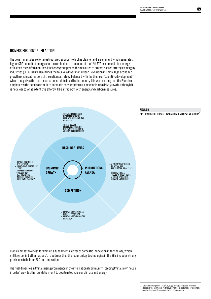#### DRIVERS FOR CONTINUED ACTION

The government desire for a restructured economy which is cleaner and greener and which generates higher GDP per unit of energy used are embodied in the focus of the 12th FYP on demand-side energy efficiency, the shift to non-fossil fuel energy supply and the measures to promote seven strategic emerging industries (SEIs). Figure 10 outlines the four key drivers for a Clean Revolution in China. High economic growth remains at the core of the nation's strategy, balanced with the theme of 'scientific development'<sup>«</sup>, which recognizes the real resource constraints faced by the country. It is worth noting that the Plan also emphasizes the need to stimulate domestic consumption as a mechanism to drive growth, although it is not clear to what extent this effort will be a trade-off with energy and carbon measures.



Global competitiveness for China is a fundamental driver of domestic innovation in technology, which still lags behind other nations<sup>42</sup>. To address this, the focus on key technologies in the SEIs includes strong provisions to bolster R&D and innovation.

The final driver lies in China's rising prominence in the international community: 'keeping China's own house in order' provides the foundation for it to be a trusted voice on climate and energy.

IX 'Scientific development' (科学发展观) is the guiding socio-economic<br>ideology of the Communist Party. Key elements are sustainable development,<br>social welfare and the creation of a harmonious society.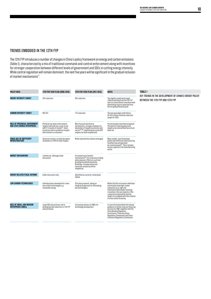#### TRENDS EMBODIED IN THE 12TH FYP

The 12th FYP introduces a number of changes in China's policy framework on energy and carbon emissions (Table 1), characterized by a mix of traditional command-and-control enforcement along with incentives for stronger cooperation between different levels of government and SOEs in cutting energy intensity. While central regulation will remain dominant, the next five years will be significant in the gradual inclusion of market mechanisms<sup>43</sup>.

| <b>POLICY AREA</b>                                           | <b>11TH FIVE YEAR PLAN (2006-2010)</b>                                                                                                                                                          | <b>12TH FIVE YEAR PLAN (2011-2015)</b>                                                                                                                                                                                                      | NOTES                                                                                                                                                                                                                                                                                          | <b>TABLE 1</b>                                                                         |
|--------------------------------------------------------------|-------------------------------------------------------------------------------------------------------------------------------------------------------------------------------------------------|---------------------------------------------------------------------------------------------------------------------------------------------------------------------------------------------------------------------------------------------|------------------------------------------------------------------------------------------------------------------------------------------------------------------------------------------------------------------------------------------------------------------------------------------------|----------------------------------------------------------------------------------------|
| <b>ENERGY INTENSITY TARGET</b>                               | 20% reduction                                                                                                                                                                                   | 16% reduction                                                                                                                                                                                                                               | The slightly scaled-back target<br>reflects learning from the 11th FYP<br>and is to some extent consistent with<br>diminishing returns expected from<br>the on-going efficiency push.                                                                                                          | KEY TRENDS IN THE DEVELOPMENT OF CHINA'S ENERGY F<br>BETWEEN THE 11TH FYP AND 12TH FYP |
| <b>CARBON INTENSITY TARGET</b>                               | NOT SET                                                                                                                                                                                         | 17% reduction                                                                                                                                                                                                                               | The new goal aligns with China's<br>40-45% carbon-intensity reduction<br>target for 2020.                                                                                                                                                                                                      |                                                                                        |
| ROLE OF PROVINCIAL GOVERNMENT<br>AND STATE OWNED ENTERPRISES | Primarily top-down enforcement.<br>Targets took well over a year to set<br>with 4-5 rounds of review <sup>44</sup> . Some<br>provinces took on ambitious targets<br>with limited co-ordination. | More focused and diverse<br>mechanisms, stronger emphasis on<br>devolution of targets by province and<br>sector <sup>45.46</sup> ; negotiating accurate GDP<br>targets has been emphasized.                                                 | Provincial plans have been proposed.<br>The date for finalizing plans and<br>targets at provincial level has not yet<br>been set.                                                                                                                                                              |                                                                                        |
| PHASE-OUT OF INEFFICIENT<br>INFRASTRUCTURE                   | Some last minute, socially disruptive<br>shutdowns in 2010 to meet targets.                                                                                                                     | Better planned shut-downs envisaged.                                                                                                                                                                                                        | Many smaller, coal-fired power<br>plants and inefficient manufacturing<br>facilities have already been<br>de-commissioned <sup>47</sup> . There remains<br>excess capacity in the manufacturing<br>sector.                                                                                     |                                                                                        |
| <b>MARKET MECHANISMS</b>                                     | Limited use, although under<br>discussion.                                                                                                                                                      | Increased use of market<br>mechanisms <sup>48</sup> CO <sub>2</sub> emissions trading<br>pilots planned. Efforts to curb fast<br>growing household emissions<br>(buildings, transportation and<br>consumer products) will be<br>stepped up. |                                                                                                                                                                                                                                                                                                |                                                                                        |
| <b>ENERGY RELATED FISCAL REFORM</b>                          | Under discussion only.                                                                                                                                                                          | Identified as a priority, initial plans<br>tabled.                                                                                                                                                                                          |                                                                                                                                                                                                                                                                                                |                                                                                        |
| LOW CARBON TECHNOLOGIES                                      | Individual plans developed for some<br>low carbon technologies e.g.<br>renewable energy.                                                                                                        | SEIs plan proposed, taking an<br>integrated approach to stimulating<br>key technologies.                                                                                                                                                    | Whilst the SEIs are broad in definition<br>and include some high-carbon<br>subsectors (e.g. high-end<br>manufacturing includes investing<br>in aviation), the vast majority of the<br>subsectors listed either directly<br>target or are aligned with the creation<br>of a low carbon economy. |                                                                                        |
| <b>ROLE OF SMALL AND MEDIUM</b><br><b>ENTERPRISES (SMEs)</b> | Large SOEs play primary role in<br>developing new industries in 11th FYP<br>and previously.                                                                                                     | Increasing reliance on SMEs for<br>technology development.                                                                                                                                                                                  | In June the Central Bank will release<br>guidance to further improve financing<br>services for SMEs together with the<br>China Banking Regulatory<br>Commission, China Securities<br>Regulatory Commission and China<br>Insurance Regulatory Commission.                                       |                                                                                        |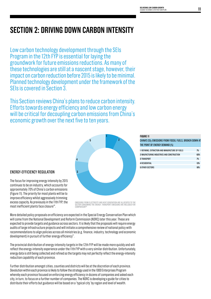# **SECTION 2: Driving Down Carbon Intensity**

Low carbon technology development through the SEIs Program in the 12th FYP is essential for laying the groundwork for future emissions reductions. As many of these technologies are still at a nascent stage, however, their impact on carbon reduction before 2015 is likely to be minimal. Planned technology development under the framework of the SEIs is covered in Section 3.

This Section reviews China's plans to reduce carbon intensity. Efforts towards energy efficiency and low carbon energy will be critical for decoupling carbon emissions from China's economic growth over the next five to ten years.



#### ENERGY-EFFICIENCY REGULATION

The focus for improving energy intensity by 2015 continues to be on industry, which accounts for approximately 70% of China's carbon emissions (Figure 11). The priority for most plants will be to improve efficiency whilst aggressively trimming excess capacity. As previously in the 11th FYP, the most inefficient plants face closure<sup>49</sup>.

EMISSIONS FROM ELECTRICITY AND HEAT GENERATION ARE ALLOCATED TO T<br>SECTOR CONSUMING THE ENERGY; TRANSPORT EMISSIONS ARE INCLUDED FI comparison50

More detailed policy proposals on efficiency are expected in the Special Energy Conservation Plan which will come from the National Development and Reform Commission (NDRC) later this year. These are expected to provide targets and guidance across sectors. It is likely that the proposals will require energy audits of large infrastructure projects and will initiate a comprehensive review of national policy with recommendations to align policies across all ministries (e.g. finance, industry, technology and economic development) in pursuit of further energy efficiency<sup>51</sup>.

The provincial distribution of energy-intensity targets in the 12th FYP will be made more quickly and will reflect the energy-intensity experience under the 11th FYP with a very similar distribution. Unfortunately, energy data is still being collected and refined so the targets may not perfectly reflect the energy-intensity reduction capability of each province.

Further distribution amongst cities, counties and districts will be at the discretion of each province. Devolution within each province is likely to follow the strategy used in the 1000 Enterprises Program whereby each province focused on enforcing energy efficiency in dozens of companies and asked each city, in turn, to focus on a further number of companies. The NDRC is developing a guide for cities to distribute their efforts but guidance will be based on a 'typical city' by region and level of wealth.

#### **FIGURE 11**

| CHINA'S CO2 EMISSIONS FROM FOSSIL FUELS, BROKEN DOWN AT<br>THE POINT OF ENERGY DEMAND (%) |     |
|-------------------------------------------------------------------------------------------|-----|
| 1 REFINING, EXTRACTION AND MANUFACTURE OF FUELS                                           | 7%  |
| 2 MAUFACTURING INDUSTRIES AND CONSTRUCTION                                                | 63% |
| <b>3 TRANSPORT</b>                                                                        | 7%  |
| <b>4 RESIDENTIAL</b>                                                                      | 13% |
| 5 OTHER SECTORS                                                                           | 10% |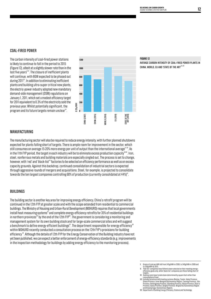#### COAL-FIRED POWER

The carbon intensity of coal-fired power stations is likely to continue to fall in the period to 2015 (Figure 12), albeit at a slightly slower rate than in the last five years $x_{52}$ . The closure of inefficient plants will continue, with 8GW expected to be phased out during 201153. In addition to eliminating inefficient plants and building ultra-super critical new plants, the electric-power industry adopted new mandatory demand-side management (DSM) regulations on January 1, 2011, which set a modest efficiency target for 2011 equivalent to 0.3% of the electricity sold the previous year. Whilst potentially significant, the program and its future targets remain unclear<sup>54</sup>.



#### **FIGURE 12**

Average carbon intensity of coal-fired power plants in CHINA, WORLD, EU AND 'STATE OF THE ART'55,56

#### MANUFACTURING

The manufacturing sector will also be required to reduce energy intensity, with further planned shutdowns expected for plants falling short of targets. There is ample room for improvement in the sector, which still consumes on average 15-20% more energy per unit of output than the international average $57.58$ . As in the 11th FYP period, the target in each industry will be to eliminate excess production capacity<sup>59,60</sup>. Iron, steel, nonferrous metals and building materials are especially singled out. The process is set to change, however, with 'red' and 'black-list<sup>'"</sup> factories to be selected on efficiency performance as well as on excess capacity grounds. Against this backdrop, continued consolidation of industrial sectors is expected through aggressive rounds of mergers and acquisitions. Steel, for example, is projected to consolidate towards the ten largest companies controlling 60% of production (currently consolidated at 44%) $^{\text{\tiny{61}}}$ .

#### BUILDINGS

The building sector is another key area for improving energy efficiency. China's retrofit program will be continued in the 12th FYP at greater scale and with the scope extended from residential to commercial buildings. The Ministry of Housing and Urban-Rural Development (MOHURD) requires that local governments  $\mu$  install heat-measuring systems<sup>x<sub>II</sub></sup> and complete energy-efficiency retrofits for 35% of residential buildings in northern provinces III by the end of the 12th FYP<sup>62</sup>. The government is considering a monitoring and management system for its own building stock and for large-scale commercial sites and will suggest a benchmark to define energy-efficient buildings<sup>63</sup>. The department responsible for energy efficiency<sup>xy</sup> within MOHURD recently conducted a consultation process on the 12th FYP's provisions for building efficiency 64. Although the details of 12th FYP for the Energy Conservation of the Building Industry have not yet been published, we can expect a better enforcement of energy-efficiency standards (e.g. improvements in the inspection methodology for buildings by adding energy efficiency to the monitoring process).

targets.<br>
I Heating costs have to date been determined by square feet rather than<br>
Heating costs have to date been determined by square feet rather than<br>
XIII Includes provinces, Inner Mongolia Automomous Region, Lianning

X Grams of coal per kWh fell from 345g/kWh in 2008, to 340g/kWh in 2009 and

to 330g/kWh by 2015.<br>Yie d-list' companies have hitherto been selected on their meeting energy-<br>efficiency goals only, while 'black-list' companies are those falling short of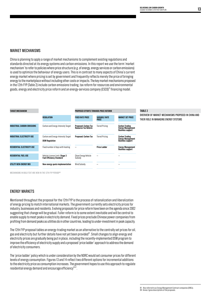#### MARKET MECHANISMS

China is planning to apply a range of market mechanisms to complement existing regulations and standards directed at its energy systems and carbon emissions. In this report we use the term 'market mechanism' to refer to policies where price structure (e.g. of energy, energy services or carbon emissions) is used to optimize the behaviour of energy users. This is in contrast to many aspects of China's current energy market where pricing is set by government and frequently reflects merely the price of bringing energy to the marketplace without including other costs or impacts. The key market mechanisms proposed in the 12th FYP (Table 2) include carbon emissions trading, tax reform for resources and environmental goods, energy and electricity price reform and an energy-services company (ESCO)<sup>w</sup> financing model.



Mechanisms in bold text are new in the 12th FYP periodXVI

#### Energy Markets

Mentioned throughout the proposal for the 12th FYP is the process of rationalization and liberalization of energy pricing to match international markets. The government currently sets electricity prices for industry, businesses and residents. Evolving proposals for price reform have been on the agenda since 2002 suggesting that change will be gradual. Fuller reform is to some extent inevitable and will be central to enable supply to meet peaks in electricity demand. Fixed prices preclude Chinese power companies from profiting from demand peaks as utilities do in other countries, leading to under-investment in peak capacity.

The 12th FYP proposal tables an energy-trading market as an alternative to the centrally set prices for oil, gas and electricity but further details have not yet been provided<sup>65</sup>. Small changes to align energy and electricity prices are gradually being put in place, including the recently-implemented DSM program to improve the efficiency of electricity supply and a proposed 'price ladder' approach to address the demand of electricity consumers.

The 'price ladder' policy which is under consideration by the NDRC would set consumer prices for different levels of energy consumption. Figures 13 and 14 reflect two different options for incremental additions to the electricity price as consumption increases. The government hopes to use this approach to regulate residential energy demand and encourage efficiency $66.67$ .

#### **TABLE 2**

Overview of market mechanisms proposed in China and their role in managing energy systems

XV Also referred to as Energy Management Contract companies (EMCs). XVI Annex 2 gives descriptions of the proposals.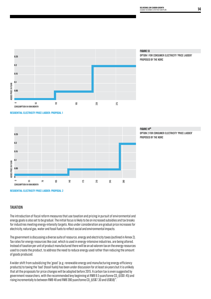



Option 1 for consumer electricity 'price ladder' proposed by the NDRC

**RESIDENTIAL ELECTRICITY PRICE LADDER: PROPOSAL 1**



#### **FIGURE 1468**

Option 2 for consumer electricity 'price ladder' proposed by the NDRC

#### **TAXATION**

The introduction of fiscal reform measures that use taxation and pricing in pursuit of environmental and energy goals is also set to be gradual. The initial focus is likely to be on increased subsidies and tax breaks for industries meeting energy-intensity targets. Also under consideration are gradual price increases for electricity, natural gas, water and fossil fuels to reflect social and environmental impacts.

The government is discussing a diverse suite of resource, energy and electricity taxes (outlined in Annex 2). Tax rates for energy resources like coal, which is used in energy-intensive industries, are being altered. Instead of taxation per unit of product manufactured there will be an ad valorem tax on the energy resources used to create the product, to address the need to reduce energy used rather than reducing the amount of goods produced.

A wider shift from subsidizing the 'good' (e.g. renewable energy and manufacturing energy-efficiency products) to taxing the 'bad' (fossil fuels) has been under discussion for at least six years but it is unlikely that all the proposals for price changes will be adopted before 2015. A carbon tax is even suggested by government researchers, with the recommended levy beginning at RMB 9.5 yuan/tonne CO<sub>2</sub> (US\$1.45) and rising incrementally to between RMB 48 and RMB 390 yuan/tonne CO $_{_2}$  (US\$7.30 and US\$59) $^{\prime\text{o}}$ .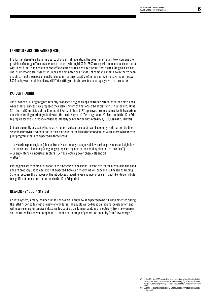#### Energy Service Companies (ESCOs)

In a further departure from the approach of central regulation, the government plans to encourage the provision of energy-efficiency services to industry through ESCOs. ESCOs use performance-based contracts with client firms to implement energy-efficiency measures, deriving revenue from the resulting cost savings. The ESCO sector is still nascent in China and dominated by a handful of companies that have hitherto been unable to meet the needs of small and medium enterprises (SMEs) in the energy-intensive industries. An ESCO policy was established in April 2010, setting out tax breaks to encourage growth in the sector.

#### Carbon trading

The province of Guangdong has recently proposed a regional cap and trade system for carbon emissions, while other provinces have proposed the establishment of a national trading platforms. In October 2010 the 17th Central Committee of the Communist Party of China (CPC) approved proposals to establish a carbon emissions trading market gradually over the next five years<sup> $n$ </sup>. Two targets for 2015 are set in the 12th FYP to prepare for this – to reduce emissions intensity by 17% and energy-intensity by 16%, against 2010 levels.

China is currently assessing the relative benefits of sector-specific and economy-wide carbon trading schemes through an examination of the experience of the EU and other regions as well as through domestic pilot programs that are expected in three areas:

- Low carbon pilot regions (chosen from five nationally-recognized, low carbon provinces and eight low carbon cities<sup>NII</sup>, including Guangdong's proposed regional carbon-trading pilot in 11 of its cities<sup>NIII</sup>)
- Energy-intensive industrial sectors (such as electric power, chemicals and oil)
- $-$  SOEs<sup>72</sup>

Pilot regions are expected to take on caps on energy or emissions. Beyond this, details remain undisclosed and are probably undecided. It is not expected, however, that China will copy the EU Emissions Trading Scheme. Because this process will be introduced gradually over a number of years it is not likely to contribute to significant emissions reductions in the 12th FYP period.

#### New-Energy Quota System

A quota system, already included in the Renewable Energy Law, is expected to be fully implemented during the 12th FYP period to meet the new-energy target. The quota will be based on regional development and will require energy intensive industries to acquire a certain percentage of electricity from new-energy sources as well as power companies to meet a percentage of generation capacity from 'new energy' $^{\scriptscriptstyle{73}}$ .

<sup>,</sup> XVII In July 2010, the NDRC selected the provinces of Guangdong, Liaoning, Hubei<br>Shaanxi and Yunnan and the cities of Tianjin, Chongqing, Shenzhen, Xiamen,<br>Hangzhou, Nanchang, Guiyang and Baoding as National Low carbon E Pilots.

XVIII Guangdong is considered by the NDRC to have some of the best energy data in the country.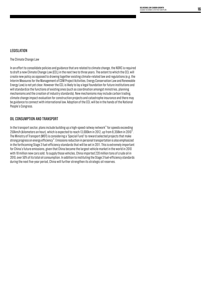#### **LEGISLATION**

#### The Climate Change Law

In an effort to consolidate policies and guidance that are related to climate change, the NDRC is required to draft a new Climate Change Law (CCL) in the next two to three years. The extent to which the CCL will create new policy as opposed to drawing together existing climate-related law and regulations (e.g. the Interim Measures for the Management of CDM Project Activities, Energy Conservation Law and Renewable Energy Law) is not yet clear. However the CCL is likely to lay a legal foundation for future institutions and will standardize the functions of existing ones (such as coordination amongst ministries, planning mechanisms and the creation of industry standards). New mechanisms may include carbon trading, climate change impact evaluation for construction projects and catastrophe insurance and there may be guidance to connect with international law. Adoption of the CCL will be in the hands of the National People's Congress.

#### Oil Consumption and Transport

In the transport sector, plans include building up a high-speed railway network $74$  for speeds exceeding 250km/h (kilometers an hour), which is expected to reach 13,000km in 2012, up from 8,358km in 2010 $^{\rm 5}$ . The Ministry of Transport (MOT) is considering a 'Special Fund' to reward selected projects that make strong progress on energy efficiency<sup>76</sup>. Emissions reduction in personal transportation is also emphasized in the forthcoming Stage 3 fuel-efficiency standards that will be set in 2011. This is extremely important for China's future emissions, given that China became the largest vehicle market in the world in 2010 with 18 million new cars sold. To supply those vehicles, China imported 220 million tons of crude oil in 2010, over 50% of its total oil consumption. In addition to instituting the Stage 3 fuel-efficiency standards during the next five-year period, China will further strengthen its strategic oil reserves.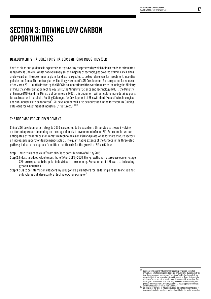### **SECTION 3: Driving Low Carbon Opportunities**

#### Development strategies for Strategic Emerging Industries (SEIs)

A raft of plans and guidance is expected shortly covering the process by which China intends to stimulate a range of SEIs (Table 3). Whilst not exclusively so, the majority of technologies covered by China's SEI plans are low carbon. The government's plans for SEIs are expected to be key references for investment, incentive policies and funds. The central plan will be the government's SEI Development Plan, expected for release after March 2011. Jointly drafted by the NDRC in collaboration with several ministries including the Ministry of Industry and Information Technology (MIIT), the Ministry of Science and Technology (MOST), the Ministry of Finance (MOF) and the Ministry of Commerce (MOC), this document will articulate more detailed plans for each sector. In parallel, a Guiding Catalogue for Development of SEIs will identify specific technologies and sub-industries to be targeted<sup>77</sup>. SEI development will also be addressed in the forthcoming Guiding Catalogue for Adjustment of Industrial Structure 2011 $X_{X,X}$ 

#### The roadmap for SEI development

China's SEI development strategy to 2030 is expected to be based on a three-step pathway, involving a different approach depending on the stage of market development of each SEI. For example, we can anticipate a stronger focus for immature technologies on R&D and pilots while for more mature sectors on increased support for deployment (Table 3). The quantitative extents of the targets in the three-step pathway indicate the degree of ambition that there is for the growth of SEIs in China:

Step 1: Industrial added value<sup>xx</sup> from all SEIs to contribute 8% of GDP by 2015

- Step 2: Industrial added value to contribute 15% of GDP by 2020. High-growth and mature development-stage SEIs are expected to be 'pillar industries' in the economy. Pre-commercial SEIs are to be leading growth industries
- Step 3: SEIs to be 'international leaders' by 2030 (where parameters for leadership are set to include not only volume but also quality of technology, for example)<sup>79</sup>

- XIX Guidance Catalogue for Adjustment of Industrial Structure, published<br>annually, is a list of sectors and technologies. The Catalogue divides industries<br>into three categories: 'encouraged;' restricted' and 'to be elimina
- Catalogue is an important reference for government when approving new<br>projects and investments. Typically, supporting industry policies come out<br>xx after the release of the Adjustment Catalogue.<br>xx after the release of the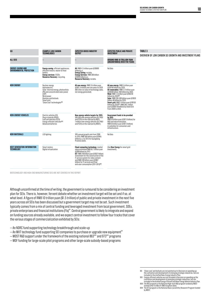| SEI                                                         | <b>EXAMPLE LOW CARBON</b><br>TECHNOLOGIES                                                                                                                                                                | <b>EXPECTED GROSS INDUSTRY</b><br>OUTPUT                                                                                                                                                                                                                                                                                                               | <b>EXPECTED PUBLIC AND PRIVATE</b><br>INVESTMENT                                                                                                                                                                                                                                                                                                                                                                                                                  | <b>TABLE 3</b><br>OVERVIEW OF LOW CARBON SEI GROWTH AND INVESTMENT F |
|-------------------------------------------------------------|----------------------------------------------------------------------------------------------------------------------------------------------------------------------------------------------------------|--------------------------------------------------------------------------------------------------------------------------------------------------------------------------------------------------------------------------------------------------------------------------------------------------------------------------------------------------------|-------------------------------------------------------------------------------------------------------------------------------------------------------------------------------------------------------------------------------------------------------------------------------------------------------------------------------------------------------------------------------------------------------------------------------------------------------------------|----------------------------------------------------------------------|
| <b>ALL SEIS</b>                                             |                                                                                                                                                                                                          |                                                                                                                                                                                                                                                                                                                                                        | AROUND RMB 10 TRILLION YUAN<br>(UNCONFIRMED) OVER FIVE YEARS                                                                                                                                                                                                                                                                                                                                                                                                      |                                                                      |
| <b>ENERGY-SAVING AND</b><br><b>ENVIRONMENTAL PROTECTION</b> | <b>Energy-saving:</b> efficient appliances;<br>efficient motors: waste-to-heat<br>boilers.<br><b>Energy services: ESCOs.</b><br>Resource Recovery: recycling.                                            | All: RMB 4.5 trillion vuan (US\$690<br>billion) p.a.<br>Energy Saving: no data.<br>Energy Services: RMB 300 billion<br>(US\$46 billion) p.a.<br>Resource Recovery: no data.                                                                                                                                                                            | No Data                                                                                                                                                                                                                                                                                                                                                                                                                                                           |                                                                      |
| <b>NEW ENERGY</b>                                           | Nuclear energy<br>Hydroelectric<br>Solar: thermal energy, photovoltaic<br>(PV) and concentrated solar power<br>(CSP)<br>Wind power<br>Biomass and biofuels<br>Smart grid<br>'Clean coal' technologiesXXI | All new energy: RMB 15 trillion yuan<br>(US\$2.3 trillion) over ten years to 2020<br>(NB refers to value of technology sales,<br>not energy generated).                                                                                                                                                                                                | All new energy: RMB 5 trillion yuan<br>(US\$760 billion) by 2020.<br>All renewables: RMB 2-3 trillion yuan<br>(US\$300 billion-460 billion) by 2020.<br>Wind: RMB 1.5 trillion yuan (US\$230)<br>billion) by 202083.<br>Solar: RMB 200-300 billion yuan (US\$30<br>billion-46 billion) by 2020.<br>Smart grid: RMB 1 trillion yuan (US\$150<br>billion) by 2020 <sup>85</sup> ; RMB 384.1 billion<br>yuan (US\$58.48 billion) by State Grid<br>from 2009 to 2020. |                                                                      |
| <b>NEW-ENERGY VEHICLES</b>                                  | Electric vehicles (EV)<br>Plug-in hybrids (PHEV)<br>Fuel cell vehicles (FCÉV)<br>Energy-efficient vehiclesXXII<br>Advanced batteries                                                                     | New-energy vehicle targets for 2015:<br>500,000 new-energy vehicles (EV, PHEV<br>and FCEV) on the road (set by MIIT).<br>1 million new-energy vehicles (EV, PHEV<br>and FCEV) on the road (set by MOST).                                                                                                                                               | Government funds to be provided<br>by $2015$ :<br>RMB 50 billion yuan (US\$7.6 billion) for<br>R&D and industrialization.<br>RMB 50 billion yuan (US\$7.6 billion)<br>in subsidies for consumers and<br>infrastructure.                                                                                                                                                                                                                                           |                                                                      |
| <b>NEW MATERIALS</b>                                        | LED lighting                                                                                                                                                                                             | 30% annual growth rate from 2008<br>to 2015; RMB 300 billion yuan (US\$45<br>billion) p.a. by 2013 for Guangdong<br>Province alone.                                                                                                                                                                                                                    | No Data                                                                                                                                                                                                                                                                                                                                                                                                                                                           |                                                                      |
| <b>NEXT GENERATION INFORMATION</b><br>TECHNOLOGY            | Smart meters<br>Digital virtualization                                                                                                                                                                   | Cloud computing technology: market<br>value estimated RMB 60.7 billion yuan<br>(US\$9 billion) by 2012.<br>ICT: RMB 249 billion yuan (US\$37 billion)<br>investment for the construction of the<br>IT service system for video content<br>and RMB 439 billion yuan (US\$67<br>billion) for IT services and final<br>end-user consumption (2011-2013)88 | (See New Energy for smart grid<br>investment).                                                                                                                                                                                                                                                                                                                                                                                                                    |                                                                      |

Biotechnology and high-end manufacturing SEIs are not covered in this report

Although unconfirmed at the time of writing, the government is rumoured to be considering an investment plan for SEIs. There is, however, fervent debate whether an investment target will be set and if so, at what level. A figure of RMB 10 trillion yuan (\$1.5 trillion) of public and private investment in the next five years across all SEIs has been discussed but a government target may not be set. Such investment typically comes from a mix of central funding and leveraged investment from local government, SOEs, private enterprises and financial institutions (FIs)<sup>89</sup>. Central government is likely to integrate and expand on funding sources already available, and we expect central investment to follow four tracks that cover the various stages of commercialization exhibited by SEIs:

- An NDRC fund supporting technology breakthrough and scale-up
- $-$  An MIIT technology fund supporting SEI companies to purchase or upgrade new equipment<sup>®</sup>
- $-$  MOST R&D support under the framework of the existing national 863<sup> $xum$ </sup> and 973 $^{xav}$  programs
- MOF funding for large-scale pilot programs and other large-scale subsidy-based programs

- XXI Clean coal 'and biofuels are not pointed out in Decision on speeding up<br>the cultivation and development of emerging stategic industries, but are<br>included in the drafted New-Energy Industry Plan.<br>XXII Fregy-efficient ve
- 
-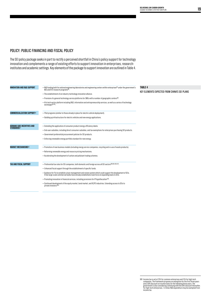#### Policy: Public Financing and Fiscal Policy

The SEI policy package seeks in part to rectify a perceived shortfall in China's policy support for technology innovation and complements a range of existing efforts to support innovation in enterprises, researchinstitutes and academic settings. Key elements of the package to support innovation are outlined in Table 4.

| INNOVATION AND R&D SUPPORT                       | -R&D funding both for national engineering laboratories and engineering centers within enterprises <sup>91</sup> under the government's<br>863 and 973 research programs <sup>92</sup> .                                 |  |  |
|--------------------------------------------------|--------------------------------------------------------------------------------------------------------------------------------------------------------------------------------------------------------------------------|--|--|
|                                                  | - The establishment of an industry technology innovation alliance.                                                                                                                                                       |  |  |
|                                                  | $-$ Provision of a general technology service platforms for SMEs with a number of geographic centers <sup>93</sup> .                                                                                                     |  |  |
|                                                  | $-A$ hi-tech sector platform including R&D, information and entrepreneurship services, as well as a series of technology<br>exchanges94,95.                                                                              |  |  |
| <b>COMMERCIALIZATION SUPPORT96</b>               | - Pilot programs (similar to those already in place for electric vehicle deployment).                                                                                                                                    |  |  |
|                                                  | - Building up infrastructure for electric vehicles and new energy applications.                                                                                                                                          |  |  |
| <b>DEMAND SIDE INCENTIVES AND</b><br>STANDARDS97 | - Extending the application of consumer product energy-efficiency labels.                                                                                                                                                |  |  |
|                                                  | - End-user subsidies, including direct consumer subsidies, and tax exemptions for enterprises purchasing SEI products.                                                                                                   |  |  |
|                                                  | - Government preferential procurement policies for SEI products.                                                                                                                                                         |  |  |
|                                                  | - Enforcing renewable-energy portfolio standard for new energy.                                                                                                                                                          |  |  |
| <b>MARKET MECHANISMS98</b>                       | - Promotion of new business models (including energy service companies, recycling and re-use of waste products).                                                                                                         |  |  |
|                                                  | - Reforming renewable energy and resource pricing mechanisms.                                                                                                                                                            |  |  |
|                                                  | -Accelerating the development of carbon and pollutant trading schemes.                                                                                                                                                   |  |  |
| TAX AND FISCAL SUPPORT                           | $-$ Preferential tax rates for SEI companies, both domestic and foreign across all SEI sectors $XXY,99,100,101$ .                                                                                                        |  |  |
|                                                  | - Enhanced fiscal support through the establishment of specific funds.                                                                                                                                                   |  |  |
|                                                  | — Guidance for FIs to establish a loan-management and review system which could support the development of SEIs.<br>A few large-scale commercial banks have already established a task force on expanding loans to SEIs. |  |  |
|                                                  | -Promoting innovation in financial services, including provisions for IP hypothecation <sup>102</sup> .                                                                                                                  |  |  |
|                                                  | - Continued development of the equity market, bond market, and VC/PE industries. Extending access to SEIs to<br>private investors <sup>103.</sup>                                                                        |  |  |

**table 4**

Key elements expected from China's SEI plans

XXV Income tax is set at 25% for common enterprises and 15% for high-tech<br>companies. The framework proposes an exemption for the first three years<br>and a 50% discount on income taxes for the following three years. The<br>gover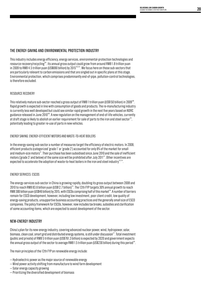#### The energy-saving and environmental protection industry

This industry includes energy efficiency, energy services, environmental-protection technologies and resource recovery/recycling<sup>104</sup>. Its annual gross output could grow from around RMB 1.8 trillion yuan in 2009 to RMB 4.5 trillion yuan (US\$690 billion) by 2015<sup>105,107</sup>. We focus here on those sub-sectors that are particularly relevant to carbon emissions and that are singled out in specific plans at this stage. Environmental protection, which comprises predominantly end-of-pipe, pollution-control technologies, is therefore excluded.

#### Resource recovery

This relatively mature sub-sector reached a gross output of RMB 1 trillion yuan (US\$150 billion) in 2009 $^{\text{\tiny{108}}}$ . Rapid growth is expected in line with consumption of goods and products. The re-manufacturing industry is currently less well developed but could see similar rapid growth in the next five years based on NDRC guidance released in June 2010<sup>109</sup>. A new regulation on the management of end-of-life vehicles, currently at draft stage is likely to abolish an earlier requirement for sale of parts to the iron and steel sector" , potentially leading to greater re-use of parts in new vehicles.

#### Energysaving: energy-efficientmotorsandwaste-to-heat boilers

In the energy-saving sub-sector a number of measures target the efficiency of electric motors. In 2008, efficient products (categorized 'grade 1' or 'grade 2') accounted for only 8% of the market for small and medium-size motors<sup>11</sup>. Their purchase has been subsidised since June 2010 and the sale of inefficient motors ('grade 3' and below) of the same size will be prohibited after July 2011<sup>112</sup>. Other incentives are expected to accelerate the adoption of waste-to-heat boilers in the iron and steel industry $^{\text{\tiny{13,114}}}$ .

#### Energyservices: ESCOs

The energy-services sub-sector in China is growing rapidly, doubling its gross output between 2008 and 2010 to reach RMB 83.6 billion yuan (US\$12.7 billion)<sup>115</sup>. The 12th FYP targets 30% annual growth to reach RMB 300 billion yuan (US\$46 billion) by 2015, with ESCOs comprising half of this market<sup>16</sup>. A number of barriers remain for ESCO development, however, including low investment, poor client credit, low quality of energy-saving products, unsupportive business accounting practices and the generally small size of ESCO companies. The policy framework for ESCOs, however, now includes tax breaks, subsidies and clarification of some accounting items, which are expected to assist development of the sector.

#### New-energy industry

China's plan for its new-energy industry, covering advanced nuclear power, wind, hydropower, solar, biomass, clean coal, smart grid and distributed energy systems, is still under discussion<sup>117</sup>. Total investment (public and private) of RMB 5 trillion yuan (US\$761.3 billion) is expected by 2020 and government expects the annual gross output of the sector to average RMB 1.5 trillion yuan (US\$230 billion) during this period" $^{\text{\tiny{116}}}$ .

The main principles of the 12th FYP on renewable energy include:

- Hydroelectric power as the major source of renewable energy
- Wind power activity shifting from manufacture to wind farm development
- Solar energy capacity growing
- Prioritizing the diversified development of biomass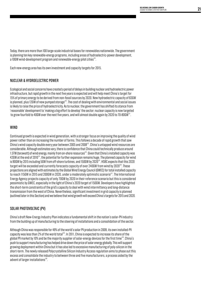Today, there are more than 100 large-scale industrial bases for renewables nationwide. The government is planning ten key renewable-energy programs, including areas of hydroelectric-power development, a 10GW wind-development program and renewable-energy pilot cities"<sup>9</sup>.

Each new-energy area has its own investment and capacity targets for 2015.

#### Nuclear & Hydroelectric Power

Ecological and social concerns have created a period of delays in building nuclear and hydroelectric power infrastructure, but rapid growth in the next five years is expected and will help meet China's target for 15% of primary energy to be derived from non-fossil sources by 2020. New hydroelectric capacity of 63GW is planned, plus 12GW of new pumped storage<sup>120</sup>. The cost of dealing with environmental and social issues is likely to raise the price of hydroelectricity. As to nuclear, the government has shifted its stance from 'reasonable' development to 'making a big effort to develop' the sector; nuclear capacity is now targeted to grow fourfold to 40GW over the next five years, and will almost double again by 2020 to 70-80GW<sup>121</sup>.

#### **WIND**

Continued growth is expected in wind generation, with a stronger focus on improving the quality of wind power rather than on increasing the number of farms. This follows a decade of rapid growth that saw China's wind capacity double every year between 2005 and  $2008^{122}$ . China's untapped wind resources are considerable. Although estimates vary, there is confidence that China could technically produce around 1.5TW (terawatt) of wind energy, mainly from on-shore resources<sup>123</sup>. Given that China's installed capacity was 42GW at the end of 2010<sup>124</sup>, the potential for further expansion remains huge. The planned capacity for wind is 90GW by 2015 including 5GW from off-shore turbines, and 150GW by 2020<sup>15</sup>. HSBC expects that this 2020 target will be exceeded and currently forecasts capacity of over 240GW from wind by 2020<sup>126</sup>. These projections are aligned with estimates by the Global Wind Energy Council (GWEC) for total installed capacity to reach 115GW in 2015 and 200GW in 2020, under a moderately optimistic scenario<sup>127</sup>. The International Energy Agency projects capacity of only 70GW by 2020 in their reference scenario but this is considered pessimistic by GWEC, especially in the light of China's 2020 target of 150GW. Developers have highlighted the short-term constraints of the grid's capacity to deal with wind intermittency and long-distance transmission from the west of China. Nevertheless, significant investment in grid capacity is planned (outlined later in this Section) and we believe that wind growth will exceed China's targets for 2015 and 2020.

#### SOLAR PHOTOVOLTAIC (PV)

China's draft New-Energy Industry Plan indicates a fundamental shift in the nation's solar-PV industry from the building up of manufacturing to the steering of installations and a consolidation of the sector.

Although China was responsible for 49% of the world's solar PV production in 2009, its own installed-PV capacity was less than 2% of the world total<sup>128</sup>. In 2011, China is expected to increase its share of the global PV market by 10% and be the majority supplier of solar-energy devices for the first time<sup>129</sup>. China's push to support manufacturing has helped drive down the price of solar energy globally. This will support growing deployment within China but it has also led to excessive manufacturing of poly-silicon in the short-term. The newly released Polycrystalline Silicon Industry Access regulation aims to phase out this excess and consolidate the industry to between three and five manufacturers, a process aided by the advent of larger installations<sup>130</sup>.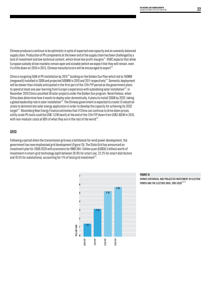Chinese producers continue to be optimistic in spite of expected overcapacity and an unevenly-balanced supply chain. Production of PV components at the lower end of the supply chain has been challenged by a lack of investment and low technical content, which drove low profit-margins<sup>131</sup>. HSBC expects that while European subsidy-driven markets remain open and sizeable (which we expect that they will remain, even if a little down on 2010 in 2011), Chinese manufacturers will be encouraged to export $^{\text{\tiny 132}}$ .

China is targeting 5GW of PV installation by 2015<sup>33</sup> building on the Golden Sun Plan which led to 160MW (megawatt) installed in 2009 and projected 500MW in 2010 and 2011 respectively134. Domestic deployment will be slower than initially anticipated in the first part of the 12th FYP period as the government plans to spend at least one year learning from Europe's experience with subsidising solar installation<sup>135</sup>; in November 2010 China cancelled 39 solar projects under the Golden Sun program. Nevertheless, when China does determine how it wants to deploy solar domestically, it plans to install 20GW by 2020, taking a global leadership role in solar installation<sup>136</sup>. The Chinese government is expected to create 13 industrial zones to demonstrate solar energy application in order to develop the capacity for achieving its 2020 target<sup>137</sup>. Bloomberg New Energy Finance estimates that if China can continue to drive down prices, utility-scale PV costs could be US\$1.12/W (watt) at the end of the 12th FYP down from US\$2.60/W in 2010, with non-modular costs at 60% of what they are in the rest of the world $^{\rm 138}.$ 

#### Grid

Following a period when the transmission grid was a bottleneck for wind power development, the government has now emphasised grid development (Figure 15). The State Grid has announced an investment plan for 2009-2020 with provisions for RMB 384.1 billion yuan (US\$58.5 billion) worth of investment in smart-grid technology (split between 30.8% for smart use, 23.2% for smart distribution and 19.5% for substations), accounting for 11% of total grid investment $^{\rm 139}$ .



#### **FIGURE 15**

China's historical and projected investment in electric POWER AND THE ELECTRIC GRID, 2001-2020<sup>140,141</sup>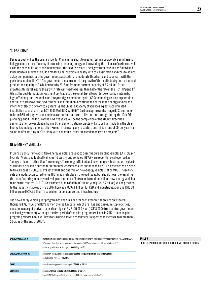#### 'Clean Coal'

Because coal will be the primary fuel for China in the short to medium term, considerable emphasis is being placed on the efficiency of its use in producing energy and in avoiding the release of carbon as well as on the consolidation of the industry over the next five years. Local governments such as Shanxi and Inner Mongolia are keen to build a modern, coal chemical-industry with coal gasification and coal-to-liquids as key components, but the government's attitude is to moderate this desire and balance it with the push for sustainability142,143. The government aims to control the growth of the coal industry and cap annual production capacity at 3.8 billion tons by 2015, up from the current capacity of 3.2 billion. To cap growth at this level means the growth rate will need to be less than half of the rate in the 11th FYP period<sup>144</sup>. Whilst the coal-to-liquids investment contradicts the overall trend towards lower carbon intensity, high-efficiency and low-emission integrated gas combined cycle (IGCC) technology is also expected to continue to grow over the next ten years and this should continue to decrease the energy and carbon intensity of electricity from coal (Figure 12). The Chinese Academy of Sciences expects accumulated installation capacity to reach 20-100GW of IGCC by 2020<sup>145</sup>. Carbon capture and storage (CCS) continues to be an R&D priority, with an emphasis on carbon capture, utilization and storage during the 12th FYP planning period. The focus of the next five years will be the completion of the 400MW GreenGen demonstration power plant in Tianjin. Other demonstration projects will also be built, including the Clean Energy Technology Demonstration Project in Lianyungang to capture one million tons of CO<sub>2</sub> per year in a saline aquifer starting in 2012, along with a handful of other smaller demonstration projects<sup>146</sup>.

#### New-energy vehicles

In China's policy framework, New-Energy Vehicles are used to describe pure electric vehicles (EVs), plug-in hybrids (PHEVs) and fuel cell vehicles (FCEVs). Hybrid vehicles (HEVs) were recently re-categorized as 'energy-efficient' rather than 'new energy'. The energy-efficient and new-energy vehicle industry plan is still under discussion but the target for new-energy vehicles on the road by 2015 is expected to be close to two proposals – 500,000 EVs set by MIIT and one million new-energy vehicles set by MOST. These targets are modest compared to the 160 million vehicles on the road today, but should nevertheless drive the manufacturing industry to develop an increase of between five and ten million new-energy vehicles to be on the road by 2020<sup>147,148</sup>. Government funds of RMB 100 billion yuan (US\$15.2 billion) will be provided to the industry, made up of RMB 50 billion yuan (US\$7.6 billion) for R&D and industrialization and RMB 50 billion yuan (US\$7.6 billion) in subsidies for consumers and infrastructure.

The new-energy vehicle pilot program has been in place for over a year but there are only several thousand EVs, PHEVs and HEVs now on the road, most of which are HEVs and buses. In six pilot cities, consumers can get a private subsidy as high as RMB 120,000 yuan (US\$18,000) (from central government and local government). Although the first period of the pilot programs will end in 2012, a second pilot program period will follow. Pilots to subsidise private consumers is expected to increase to more than 20 cities by the end of  $2015^{149}$ .

| SAIC (SHANGHAI AUTO)  | Maintain national leadership in the energy-efficient and new-energy vehicle industry (focusing on HEV, PHEV, EV and FCEV).                                                                   |
|-----------------------|----------------------------------------------------------------------------------------------------------------------------------------------------------------------------------------------|
|                       | 20% market share in new-energy vehicles (the same as SAIC'S current overall vehicle market share) <sup>150</sup> .<br>New energy vehicle capacity target of 300,000 by 2015 <sup>151</sup> . |
| GAIG (GUANGZHOU AUTO) | Annual new-energy vehicle sales target of 200,000 energy-efficient and new-energy vehicles.<br>(including HEV, PHEV and EV) by 2015 <sup>152</sup> .                                         |
| <b>CHERY</b>          | Annual new-energy vehicle sales target of 50,000 by 2015 <sup>153</sup> .                                                                                                                    |
| DONGFENG              | Specific EV annual sales target of 50,000 sold by 2015 <sup>154</sup> .<br>Invest RMB 3 billion yuan (\$459 million) in the R&D of the new-energy vehicles <sup>155</sup> .                  |
|                       |                                                                                                                                                                                              |

#### **TABLE 5** Chinese car industry targets for new-energy vehicles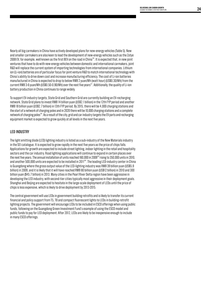Nearly all big carmakers in China have actively developed plans for new-energy vehicles (Table 5). New and smaller carmakers are also keen to lead the development of new-energy vehicles such as the Zotye 2008 EV, for example, well known as the first BEV on the road in China<sup>156</sup>. It is expected that, in new joint ventures that have to do with new-energy vehicles between domestic and international carmakers, joint R&D will replace the current system of importing technologies from international companies. Lithium ion (Li-ion) batteries are of particular focus for joint venture R&D to match international technology with China's ability to drive down cost and increase manufacturing efficiency. The cost of Li-ion batteries manufactured in China is expected to drop to below RMB 2 yuan/Wh (watt hour) (US\$0.30/Wh) from the current RMB 3-6 yuan/Wh (US\$0.50-0.90/Wh) over the next five years<sup>157</sup>. Additionally, the quality of Li-ion battery production in China continues to range widely.

To support EV-industry targets, State Grid and Southern Grid are currently building an EV-recharging network. State Grid plans to invest RMB 14 billion yuan (US\$2.1 billion) in the 12th FYP period and another RMB 18 billion yuan (US\$2.7 billion) in 13th FYP period. By 2015, there will be 4,000 charging stations and the start of a network of charging poles and in 2020 there will be 10,000 charging stations and a complete network of charging poles<sup>168</sup>. As a result of the city, grid and car industry targets the EV parts and recharging equipment market is expected to grow quickly at all levels in the next five years.

#### LED Industry

The light emitting diode (LED) lighting industry is listed as a sub-industry of the New Materials industry in the SEI catalogue. It is expected to grow rapidly in the next five years as the price of chips falls. Applications for growth are expected to include street lighting, indoor lighting in the retail and hospitality sectors and the car industry. Road lighting applications will continue to expand in certain places over the next five years. The annual installation of units reached 160,000 in 2009<sup>169</sup> rising to 350,000 units in 2010, and another 500,000 units are expected to be installed in 2011<sup>60</sup>. The leading LED-industry center in China is Guangdong where the gross output value of the LED-lighting industry was RMB 39 billion yuan (US\$5.9) billion) in 2009, and it is likely that it will have reached RMB 80 billion yuan (US\$12 billion) in 2010 and 300 billion yuan (\$45.7 billion) in 2013. Many cities in the Pearl River Delta region have been aggressive in developing the LED industry, with second-tier cities typically most aggressive in their deployment goals. Shanghai and Beijing are expected to hesitate in the large-scale deployment of LEDs until the price of chips is less expensive, which is likely to drive deployment by 2013-2015.

The central government will use LEDs in government building retrofits and is likely to transfer its current financial and policy support from T5, T8 and compact fluorescent lights to LEDs in building-retrofit lighting projects. The government will encourage LEDs to be included in ESCO offerings when using public funds, following on the Guangdong Green Investment Fund's example of using the ESCO model and public funds to pay for LED deployment. After 2012, LEDs are likely to be inexpensive enough to include in many ESCO offerings.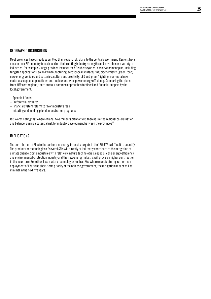#### Geographic Distribution

Most provinces have already submitted their regional SEI plans to the central government. Regions have chosen their SEI-industry focus based on their existing industry strengths and have chosen a variety of industries. For example, Jiangxi province includes ten SEI subcategories in its development plan, including tungsten applications; solar-PV manufacturing; aerospace manufacturing; biochemistry; 'green' food; new-energy vehicles and batteries; culture and creativity; LED and 'green' lighting; non-metal new materials; copper applications; and nuclear and wind power energy efficiency. Comparing the plans from different regions, there are four common approaches for fiscal and financial support by the local government:

- Specified funds
- Preferential tax rates
- Financial system reform to favor industry areas
- Initiating and funding pilot demonstration programs

It is worth noting that when regional governments plan for SEIs there is limited regional co-ordination and balance, posing a potential risk for industry development between the provinces $^{\text{\tiny{[6]}}}$ .

#### **IMPLICATIONS**

The contribution of SEIs to the carbon and energy-intensity targets in the 12th FYP is difficult to quantify. The products or technologies of several SEIs will directly or indirectly contribute to the mitigation of climate change. Some industries with relatively mature technologies, especially the energy-efficiency and environmental-protection industry and the new-energy industry, will provide a higher contribution in the near term. For other, less-mature technologies such as EVs, where manufacturing rather than deployment of EVs is the short-term priority of the Chinese government, the mitigation impact will be minimal in the next five years.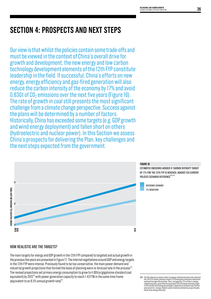# **SECTION 4: Prospects and Next Steps**

Our view is that whilst the policies contain some trade-offs and must be viewed in the context of China's overall drive for growth and development, the new energy and low carbon technology development elements of the 12th FYP constitute leadership in the field. If successful, China's efforts on new energy, energy efficiency and gas-fired generation will also reduce the carbon intensity of the economy by 17% and avoid  $0.83Gt$  of  $CO<sub>2</sub>$  emissions over the next five years (Figure 16). The rate of growth in coal still presents the most significant challenge from a climate change perspective. Success against the plans will be determined by a number of factors. Historically, China has exceeded some targets (e.g. GDP growth and wind energy deployment) and fallen short on others (hydroelectric and nuclear power). In this Section we assess China's prospects for delivering the Plan, key challenges and the next steps expected from the government.



#### How realistic are the targets?

The main targets for energy and GDP growth in the 12th FYP compared to targeted and actual growth in the previous five years are presented in Figure 17. The internal negotiations around GDP and energy targets in the 12th FYP were intense. Previously found to be too conservative, the main power demand and industrial growth projections that formed the basis of planning were re-forecast late in the process<sup>163</sup>. The revised projections set primary energy consumption to grow to 4.0Gtce (gigatonne standard coal equivalent) by 2015<sup>164</sup> with power generation capacity to reach 1.437TW in the same time frame 遠景<br>**HOW REALISTIC ARE THE TARGETS?**<br>The main targets for energy and GDP growth i<br>the previous five years are presented in Figure<br>in the 12th FYP were intense. Previously foun<br>industrial growth projections that formed th<br>T

XXVI The IEA reference scenario refers to energy-related emissions only, whereas<br>the l2th FYP carbon-intensity target (17%) anticopates emissions reductions<br>a chieved through afforestation. Here, we apply the 17% to China'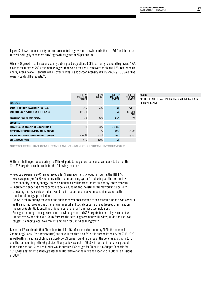Figure 17 shows that electricity demand is expected to grow more slowly than in the 11th FYP<sup>166</sup> and the actual rate will be largely dependent on GDP growth, targeted at 7% per annum.

Whilst GDP growth itself has consistently outstripped projections (GDP is currently expected to grow at 7-8%, close to the targeted  $7\%^{\text{\tiny{[B]}}}$ , estimates suggest that even if the actual rate were as high as 9.5%, reductions in energy intensity of 4.1% annually (18.8% over five years) and carbon intensity of 3.9% annually (18.0% over five years) would still be realistic<sup>168</sup>.

|                                                     | <b>11TH FYP</b><br>$(2006 - 2010)$<br>(TARGET) | 11TH FYP<br>(ACTUAL) | 12TH FYP<br>$(2011 - 2015)$<br>(TARGET) | 13TH FYP<br>$(2016 - 2020)$<br>(TARGET) |
|-----------------------------------------------------|------------------------------------------------|----------------------|-----------------------------------------|-----------------------------------------|
| <b>INDICATORS</b>                                   |                                                |                      |                                         |                                         |
| <b>ENERGY INTENSITY (% REDUCTION IN FIVE YEARS)</b> | 20%                                            | 19.1%                | 16%                                     | NOT SET                                 |
| <b>CARBON INTENSITY (% REDUCTION IN FIVE YEARS)</b> | NOT SET                                        |                      | 17%                                     | 40-45% VS<br>2005                       |
| NEW ENERGY (% OF PRIMARY ENERGY)                    | 10%                                            | $9.6\%$ <sup>1</sup> | 11.4%                                   | 15%                                     |
| <b>GROWTH RATES</b>                                 |                                                |                      |                                         |                                         |
| PRIMARY ENERGY CONSUMPTION (ANNUAL GROWTH)          | 4%                                             | 6.3%                 | $3.75 - 5%$                             |                                         |
| ELECTRICITY ENERGY CONSUMPTION (ANNUAL GROWTH)      |                                                | 11%                  | $8.5%$ *                                | $(5.5%)*$                               |
| ELECTRICITY GENERATING CAPACITY (ANNUAL GROWTH)     | $8.4%$ *2.3                                    | 13.2%4               | 8.5%                                    | $(5.6\%)*$                              |
| <b>GDP (ANNUAL GROWTH)</b>                          | 7.5%                                           | 10.6%                | 7%                                      |                                         |

#### **FIGURE 17**

Key energy and climate policy goals and indicators in China 2006–2020

Numbers with asterisks indicate governmentestimates that are not formal targets. Bold numbers are new government targets.

With the challenges faced during the 11th FYP period, the general consensus appears to be that the 12th FYP targets are achievable for the following reasons:

- Previous experience China achieved a 19.1% energy-intensity reduction during the 11th FYP.
- $-$  Excess capacity of 15-25% remains in the manufacturing system $^{173}$  phasing out the continuing over-capacity in many energy-intensive industries will improve industrial energy intensity overall.
- Energy efficiency has a more complete policy, funding and investment framework in place, with a budding energy-services industry and the introduction of market mechanisms such as the residential-energy 'price ladder'.
- Delays in rolling out hydroelectric and nuclear power are expected to be overcome in the next five years as the grid improves and as other environmental and social concerns are addressed by mitigation measures (potentially entailing a higher cost of energy from these technologies).
- Stronger planning local governments previously reported GDP targets to central government with limited review and dialogue. Going forward the central government will review, guide and approve targets, balancing local government ambition for unbridled GDP growth.

Based on IEA's estimate that China is on track for 1Gt of carbon abatement by 2020, the economist Zhongxiang ZHANG (East-West Centre) has calculated that a 43.6% cut in carbon intensity for 2005-2020 is well within the range of China's stated 40-45% target. Building on top of the policies existing in 2010 and the forthcoming 12th FYP policies, Zhang believes a cut of 46-50% in carbon intensity is possible in the same period. Such a reduction would surpass IEA's target for China in its 450ppm Scenario for 2020, with abatement slightly greater than 1Gt relative to the reference scenario (9.6Gt CO $_{_2}$ emissions in 2020)<sup>174</sup>.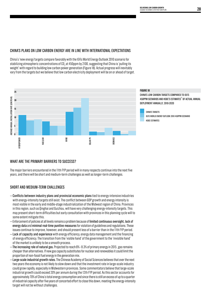#### China's plans on low carbon energy arein line with internationalexpectations

China's 'new energy'targets compare favorably with the IEA's World Energy Outlook 2010 scenario for stabilizing atmospheric concentrations of CO<sub>2</sub> at 450ppm by 2100, suggesting that China is 'pulling its weight' with regard to building low carbon power generation (Figure 18). Actual progress will inevitably vary from the targets but we believe that low carbon electricity deployment will be on or ahead of target.



#### WHAT ARE THE PRIMARY BARRIERS TO SUCCESS?

The major barriers encountered in the 11th FYP period will in many respects continue into the next five years, and there will be short and medium-term challenges as well as longer-term challenges.

#### Short and medium-term challenges

- Conflicts between industry plans and provincial economic plans tied to energy-intensive industries with energy-intensity targets still exist. The conflict between GDP growth and energy intensity is most visible in the early and middle-stage industrialization of the Midwest region of China. Provinces in this region, such as Qinghai and Guizhou, will have very challenging energy-intensity targets. This may present short-term difficulties but early consultation with provinces in this planning cycle will to some extent mitigate this.
- Enforcement of policies at all levels remains a problem because of limited continuous oversight, lack of energy data and minimal real-time punitive measures for violation of guidelines and regulations. These issues continue to improve, however, and should present less of a barrier than in the 11th FYP period.
- Lack of capacity and experience with energy efficiency, energy data management and the financing of energy efficiency. The transition from the 'visible hand' of the government to the 'invisible hand' of the market is unlikely to be a smooth process.
- The increasing role of natural gas. Projected to reach 6% 8.3% of primary energy in 2015 , gas remains cheaper than alternatives. If new gas capacity substitutes for nuclear and renewables it could limit the proportion of non-fossil fuel energy in the generation mix.
- Large-scale industrial growth rates. The Chinese Academy of Social Sciences believes that over the next two years the economy is not likely to slow down and that the investment rate in large-scale industry could grow rapidly, especially in Midwestern provinces. Some commentators believe that large-scale industrial growth could exceed 20% per annum during the 12th FYP period. As this sector accounts for approximately 70% of China's total energy consumption and since there is still an excess of up to a quarter of industrial capacity after five years of concerted effort to close this down, meeting the energy-intensity target will not be without challenges.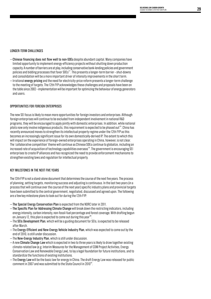#### Longer-term challenges

- Chinese financing does not flow well to non-SOEs despite abundant capital. Many companies have limited opportunity to implement energy-efficiency projects without shutting down production capacity. A number of barriers are at play, including conservative bank-lending policies and government policies and bidding processes that favor  $SDEs^{17}$ . This presents a longer-term barrier – shut-downs and consolidation will be a more important driver of intensity improvements in the short term.
- Irrational energy pricing and the need for electricity-price reform presents a longer-term challenge to the meeting of targets. The 12th FYP acknowledges these challenges and proposals have been on the table since 2002 – implementation will be important for optimizing the behaviour of energy generators and users.

#### Opportunities for foreign enterprises

The new SEI focus is likely to mean more opportunities for foreign investors and enterprises. Although foreign enterprises will continue to be excluded from independent involvement in national R&D programs, they will be encouraged to apply jointly with domestic enterprises. In addition, while national pilots now only involve indigenous products, this requirement is expected to be phased out<sup>178</sup>. China has recently announced moves to strengthen its intellectual property regime under the 12th FYP as this becomes an increasingly significant issue for its own domestically-derived IP. The extent to which this will impact on the experience of foreign-owned enterprises operating in China, however, is not clear. The 'collaborative competition' theme will continue as Chinese SOEs continue to globalize, including an increased rate of acquisition of technology capabilities overseas<sup>179</sup>. The government is encouraging SEI enterprises to create IP alliances and has recognized the need to provide enforcement mechanisms to strengthen existing laws and regulation for intellectual property.

#### Key Milestones in the Next Five Years

The 12th FYP is not a stand-alone document that determines the course of the next five years. The process of planning, setting targets, monitoring success and adjusting is continuous. In the last two years (in a process that will continue over the course of the next year) specific industry plans and provincial targets have been submitted to the central government, negotiated, discussed and agreed upon. The following are a few key milestone plans to look out for during the 12th FYP:

- The Special Energy Conservation Plan is expected from the NDRC later in 2011.
- The Specific Plan for Addressing Climate Change will break down the restricting indicators, including energy intensity, carbon intensity, non-fossil-fuel percentage and forest coverage. With drafting begun on January 12, this plan is expected to come out during this year<sup>180</sup>.
- The SEIs Development Plan, which will be a guiding document for SEIs, is expected to be released after March.
- The Energy-Efficient and New-Energy Vehicle Industry Plan, which was expected to come out by the end of 2010, is still under discussion.
- The New-Energy Industry Plan, which is still under discussion.
- A new Climate Change Law which is expected in two to three years is likely to draw together existing climate-related law (e.g. Interim Measures for the Management of CDM Project Activities, Energy Conservation Law and Renewable Energy Law), to lay a legal foundation for future institutions, and to standardize the functions of existing institutions.
- The Energy Law will be the basic law for energy in China. The draft Energy Law was released for public comment in 2007 and was submitted to the State Council in 2010 $^{\text{\tiny{[8]}}}$ .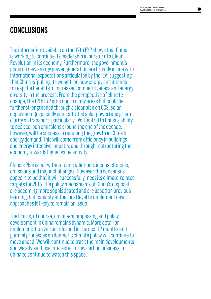# **Conclusions**

The information available on the 12th FYP shows that China is working to continue its leadership in pursuit of a Clean Revolution in its economy. Furthermore, the government's plans on new energy power generation are broadly in line with international expectations articulated by the IEA, suggesting that China is 'pulling its weight' on new energy and intends to reap the benefits of increased competitiveness and energy diversity in the process. From the perspective of climate change, the 12th FYP is strong in many areas but could be further strengthened through a clear plan on CCS, solar deployment (especially concentrated solar power) and greater clarity on transport, particularly EVs. Central to China's ability to peak carbon emissions around the end of the decade, however, will be success in reducing the growth in China's energy demand. This will come from efficiency in buildings and energy intensive industry, and through restructuring the economy towards higher value activity.

China's Plan is not without contradictions, inconsistencies, omissions and major challenges. However the consensus appears to be that it will successfully meet its climate-related targets for 2015. The policy mechanisms at China's disposal are becoming more sophisticated and are based on previous learning, but capacity at the local level to implement new approaches is likely to remain an issue.

The Plan is, of course, not all-encompassing and policy development in China remains dynamic. More detail on implementation will be released in the next 12 months and parallel processes on domestic climate policy will continue to move ahead. We will continue to track the main developments and we advise those interested in low carbon business in China to continue to watch this space.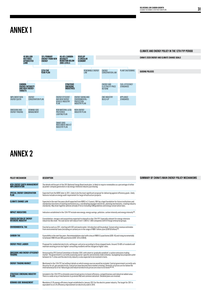# **ANNEX 1**



# **ANNEX 2**

| DESCRIPTION                                                                                                                                                                                                                                                                                                                                                           | SUMMARY OF CHINA'S MAIN ENERGY POLICY MECHANISMS |
|-----------------------------------------------------------------------------------------------------------------------------------------------------------------------------------------------------------------------------------------------------------------------------------------------------------------------------------------------------------------------|--------------------------------------------------|
| The details will be part of the 2011 National Energy Board work plan. Is likely to require renewables as a percentage of either<br>(a) power company generation or (b) energy-intensive industry purchasing.                                                                                                                                                          |                                                  |
| Expected from the NDRC later in 2011. Likely to be the most significant proposal for delivering against efficiency goals. Likely<br>features include an energy audit requirement for large infrastructure projects.                                                                                                                                                   |                                                  |
| Expected in the next five years (draft expected from NDRC in 2-3 years). Will lay a legal foundation for future institutions and<br>standardize functions of existing institutions (e.g. coordinating amongst ministries, planning mechanisms, creating industry<br>standards). May draw together policies already in force including CDM guidelines and energy conse |                                                  |
| Indicators established in the 12th FYP include new energy, energy savings, pollution, carbon intensity and energy intensity $^{182}$ .                                                                                                                                                                                                                                |                                                  |
| Consolidation, mergers and acquisitions expected to intensify in the 12th FYP. Especially relevant for energy-intensive<br>industries like steel. The coal sector will reduce from 11,000 to 7,000 companies with 6-8 large enter                                                                                                                                     |                                                  |
| Enacted as early as 2011, starting with SO2 and waste water. Introduction will be gradual. Conservative revenue estimates<br>from environmental taxes (including on carbon) are in the range of RMB 1 billion yuan (US\$150 billio                                                                                                                                    |                                                  |
| A possibility in the next five years. Recommendations start with a levy at RMB 9.5 yuan/tonne (US\$1.45) and rising incrementally<br>to between RMB 48 and 390 yuan/tonne (US\$7.30 to US\$59).                                                                                                                                                                       |                                                  |
| Proposed for residential electricity, setting per-unit price according to three stepped levels. Around 70-80% of residents will<br>maintain existing prices but higher-consuming residents will be charged at higher rates.                                                                                                                                           |                                                  |
| Announced by CPC Central Committee in October 2010, with intent to 'gradually establish' a carbon emissions trading<br>market. The government is currently assessing sector-specific and economy-wide schemes. Guangdong has proposed a pilot between its 11 cities and the electricity industry is also expected to be involved in tests.                            |                                                  |
| Mentioned in the 12th FYP, but without details on which energy sources would be included. Central government currently sets<br>the price for oil, gas and electricity. Coal prices have become more market-oriented. Domestic oil                                                                                                                                     |                                                  |
| Included in the 12th FYP to stimulate seven broad sectors to boost efficiency, competitiveness and industrial added value.<br>There is a wide array of mechanisms to promote R&D and commercialization. Detailed plans are involved.                                                                                                                                  |                                                  |
| Mandatory 0.3% energy-efficiency target established in January 2011 for the electric power industry. The target for 2011 is<br>equivalent to a 0.3% efficiency improvement on electricity sold in 2010.                                                                                                                                                               |                                                  |
|                                                                                                                                                                                                                                                                                                                                                                       |                                                  |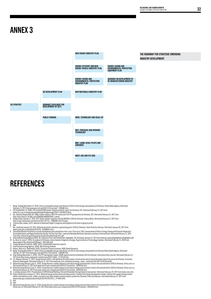### **ANNEX 3**



### **REFERENCES**

- 
- 
- 
- 1 Wang, Youling (December 15, 2010). China's renewable energy contributes to 9.6% of total energy consumption (in Chinese). Xinhua News Agency. Retrieved<br>February 15, 2011 from www.gov.cn/jrzg/2010-12/15/content\_1766566.ht
- 4 Zheng, Xiaoyi (January 7, 2011). CEC: China's power capacity reached 962GW in 2010 (in Chinese). Xinhua News. Retrieved February 15, 2011 from http://news.xinhuanet.com/fortune/2011-01/17/c\_12988305.htm?finance.
- 
- 
- 
- 
- 5 Periner Wen Jiabao, (2011). Address to National People's Congress canticipated at the time of going to print)<br>
18 Matters (Sampa Congress) 2011 (and 2010) the state of going and 2010 (in Chinese). State Statistics Bureau
- 
- 
- 
- 
- 
- 
- 
- 
- 
- 
- 
- 

23 National Energy Bureau (July 21, 2010). Energy Bureau's media release to introduce energy and economic trend in the second half of 2010 (in Chinese).<br>China.com.cn. Retrieved February 15, 2011 from www.china.com.cn/poli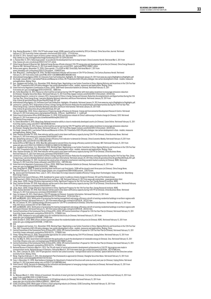- 
- 
- 
- 
- 
- 
- 
- 
- 
- 
- 
- 
- 
- N and hange the meaning and the Photostopic meaning the state of the state of the state of the state of the state of the state of the state of the state of the state of the state of the state of the state of the state of
- 
- 
- 
- 
- 
- 
- 
- 
- 
- 
- 
- 
- 
- 
- 
- 
- 
- 
- 
- 
- http://dz.jickb.cn/www/pages/webpage2009/html/2011-01/26/content\_22234.htm?div=-1.<br>8 Wolf and MOHURO. (2011). Notification of promoting the heating management and energy-efficiency retrofit of existing residential building
- 
- 64 MDF and MOHURD. (2011). Notification of promoting the heating management and energy-efficiency retrofit of existing residential buildings in northern regions with<br>heating (in Chinese). Retrieved February 15, 2011 from w
- 
- 
- 
- 
- 88 iiid.<br>The most parameterism of The Commuter Sulting Paper-Negatiating a Low Carbon Transition in China: Aligning Reforms and Incentives in the 12th Five Year<br>70 Bion. Jiangwen and Zusman, Fric. (December 2010). Working
- 
- 
- 
- 
- 
- 
- 
- 
- 
- 
- 83 ibid.<br>84 ibid.<br>85 Xu, Weixuan (March 11, 2010). Trillions of investment: the vehicle of smart grid starts (in Chinese). 21st Century Business Herald Retrieved February 15, 2011 from<br>85 Xu, Weixuan (March 11, 2010). 2-12
- 
-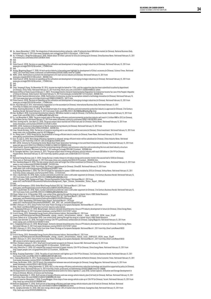- 
- 88 Xu, Jieyun (November 3, 2010). The integration of telecommunications networks, cable TV networks boost 688 billion market (in Chinese). National Business Daily.<br>Betrieved February 15, 2011 From www.chinadaily.com.cn/h
- 
- 90 ibid.
- 91 ibid. 92 State Council. (2010). Decision on speeding up the cultivation and development of emerging strategic industries (in Chinese). Retrieved February 15, 2011 from www.gov.cn/zwgk/2010-10/18/content\_1724848.htm.
- 
- 93 ibid.<br>94 Huang, Mingming (August 17, 2010). Hi-tech service industry is becoming new highlight for development of China's economy (in Chinese). Science Times. Retrieved<br>Fluang, 2011 from http://news.sciencenet.cn//sbhtm
- 
- 
- 
- 97 ind.<br>The distinction of the state and the state of the state of the state and the supportive dentation based of the state and the state and the state and the state and the state and the state and the state and the state
- 
- 
- 
- 
- 
- 
- 
- 
- 
- 
- 
- 
- 
- 
- 
- 
- 
- 
- 
- 
- 
- 
- 
- 
- 
- 
- 
- 
- 
- 
- 
- China.com.cn: Retrieved February 15, 2011 from www.china.com/poligy/txt2010-272/toment, 2050104 html.<br>
18 Han. Xaooneg Reguest & 2010). The new-energy industry plan will target free fillen in restanct (in Chinese). China S
- 
- 
- 
- 
- 
- 
- 
- www.ey.com/Publication/wvLUAssets/Renewable\_energy\_country\_attractiveness\_indices\_Issue\_28/\$FILE/EY\_RECAL\_issue\_28.pdf.<br>138 BNEF. (February 14, 2011). China Profits From Solar-Power Strategy as Europeans Backpedal. Retriev
- 
- 
- 
- 
- 142 Wang. Xiuqiang (September 1, 2010). The policy of coal chemistry will tighten up in 12th FYP (in Chinese). 21st Century Business Herald. Retrieved February 15, 2011<br>- form www.21cbh.com/HTML/2010-9-IxMMDAtMDE5NTMA.html
- 
- www.chinanews.com/ny/2010/12-06/2702563.shtml.<br>45 Wang, Hui and Zhao, Lifeng (September 13, 2011) InCCG is a key energy-efficiency and emissions reduction technology and should be supported by policy (in Chinese).<br>Scientif
- 
- 
- 
- 
- 149 NetEase (September 21, 2010). Draft version of the energy-efficiency and new-energy vehicle industry plan (Full text) (in Chinese). NetEase. Retrieved<br>February 15, 2011 from http://auto.163.com/10/0921/14/6H44764M00084